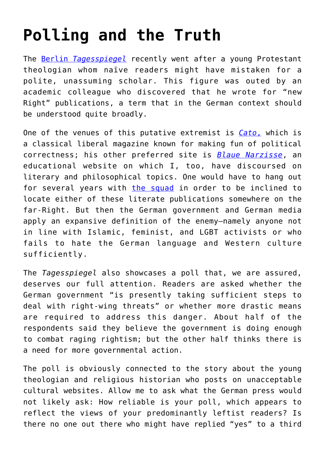## **[Polling and the Truth](https://intellectualtakeout.org/2021/02/polling-and-the-truth/)**

The [Berlin](https://www.tagesspiegel.de/kultur/rechtskonservatismus-alter-wein-in-neuen-schlaeuchen/26783276.html) *[Tagesspiegel](https://www.tagesspiegel.de/kultur/rechtskonservatismus-alter-wein-in-neuen-schlaeuchen/26783276.html)* recently went after a young Protestant theologian whom naïve readers might have mistaken for a polite, unassuming scholar. This figure was outed by an academic colleague who discovered that he wrote for "new Right" publications, a term that in the German context should be understood quite broadly.

One of the venues of this putative extremist is *[Cato](https://cato-magazin.de/)*[,](https://cato-magazin.de/) which is a classical liberal magazine known for making fun of political correctness; his other preferred site is *[Blaue Narzisse](https://www.blauenarzisse.de/die-verwirrungen-des-zoeglings-toerless/)*, an educational website on which I, too, have discoursed on literary and philosophical topics. One would have to hang out for several vears with [the squad](https://en.wikipedia.org/wiki/The_Squad_(United_States_Congress)) in order to be inclined to locate either of these literate publications somewhere on the far-Right. But then the German government and German media apply an expansive definition of the enemy—namely anyone not in line with Islamic, feminist, and LGBT activists or who fails to hate the German language and Western culture sufficiently.

The *Tagesspiegel* also showcases a poll that, we are assured, deserves our full attention. Readers are asked whether the German government "is presently taking sufficient steps to deal with right-wing threats" or whether more drastic means are required to address this danger. About half of the respondents said they believe the government is doing enough to combat raging rightism; but the other half thinks there is a need for more governmental action.

The poll is obviously connected to the story about the young theologian and religious historian who posts on unacceptable cultural websites. Allow me to ask what the German press would not likely ask: How reliable is your poll, which appears to reflect the views of your predominantly leftist readers? Is there no one out there who might have replied "yes" to a third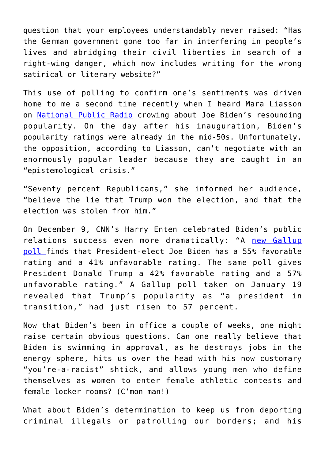question that your employees understandably never raised: "Has the German government gone too far in interfering in people's lives and abridging their civil liberties in search of a right-wing danger, which now includes writing for the wrong satirical or literary website?"

This use of polling to confirm one's sentiments was driven home to me a second time recently when I heard Mara Liasson on [National Public Radio](https://www.wfae.org/nation-world/2021-01-20/during-inaugural-address-biden-calls-for-unity-amid-multiple-national-crises) crowing about Joe Biden's resounding popularity. On the day after his inauguration, Biden's popularity ratings were already in the mid-50s. Unfortunately, the opposition, according to Liasson, can't negotiate with an enormously popular leader because they are caught in an "epistemological crisis."

"Seventy percent Republicans," she informed her audience, "believe the lie that Trump won the election, and that the election was stolen from him."

On December 9, CNN's Harry Enten celebrated Biden's public relations success even more dramatically: "A [new Gallup](https://news.gallup.com/poll/326885/biden-favorability-rises-trump-dips.aspx) [poll](https://news.gallup.com/poll/326885/biden-favorability-rises-trump-dips.aspx) finds that President-elect Joe Biden has a 55% favorable rating and a 41% unfavorable rating. The same poll gives President Donald Trump a 42% favorable rating and a 57% unfavorable rating." A Gallup poll taken on January 19 revealed that Trump's popularity as "a president in transition," had just risen to 57 percent.

Now that Biden's been in office a couple of weeks, one might raise certain obvious questions. Can one really believe that Biden is swimming in approval, as he destroys jobs in the energy sphere, hits us over the head with his now customary "you're-a-racist" shtick, and allows young men who define themselves as women to enter female athletic contests and female locker rooms? (C'mon man!)

What about Biden's determination to keep us from deporting criminal illegals or patrolling our borders; and his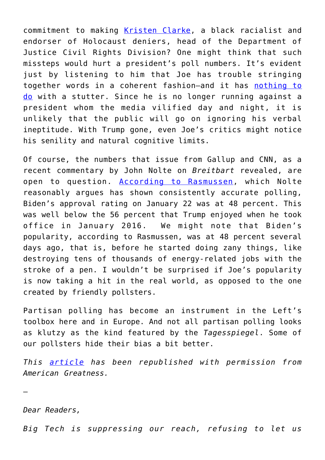commitment to making [Kristen Clarke](https://nypost.com/2021/01/26/this-biden-pick-for-a-top-civil-rights-job-has-an-ugly-history-of-hate/), a black racialist and endorser of Holocaust deniers, head of the Department of Justice Civil Rights Division? One might think that such missteps would hurt a president's poll numbers. It's evident just by listening to him that Joe has trouble stringing together words in a coherent fashion-and it has [nothing to](https://www.bostonherald.com/2020/10/03/howie-carr-media-continue-to-cover-up-joe-bidens-mental-decline/) [do](https://www.bostonherald.com/2020/10/03/howie-carr-media-continue-to-cover-up-joe-bidens-mental-decline/) with a stutter. Since he is no longer running against a president whom the media vilified day and night, it is unlikely that the public will go on ignoring his verbal ineptitude. With Trump gone, even Joe's critics might notice his senility and natural cognitive limits.

Of course, the numbers that issue from Gallup and CNN, as a recent commentary by John Nolte on *Breitbart* revealed, are open to question. [According to Rasmussen](https://www.breitbart.com/politics/2021/01/22/nolte-trumps-exit-approval-rating-higher-than-bidens-entrance-approval-rating/), which Nolte reasonably argues has shown consistently accurate polling, Biden's approval rating on January 22 was at 48 percent. This was well below the 56 percent that Trump enjoyed when he took office in January 2016. We might note that Biden's popularity, according to Rasmussen, was at 48 percent several days ago, that is, before he started doing zany things, like destroying tens of thousands of energy-related jobs with the stroke of a pen. I wouldn't be surprised if Joe's popularity is now taking a hit in the real world, as opposed to the one created by friendly pollsters.

Partisan polling has become an instrument in the Left's toolbox here and in Europe. And not all partisan polling looks as klutzy as the kind featured by the *Tagesspiegel*. Some of our pollsters hide their bias a bit better.

*This [article](https://amgreatness.com/2021/02/03/polling-and-the-truth/) has been republished with permission from American Greatness.*

*Dear Readers,*

—

*Big Tech is suppressing our reach, refusing to let us*